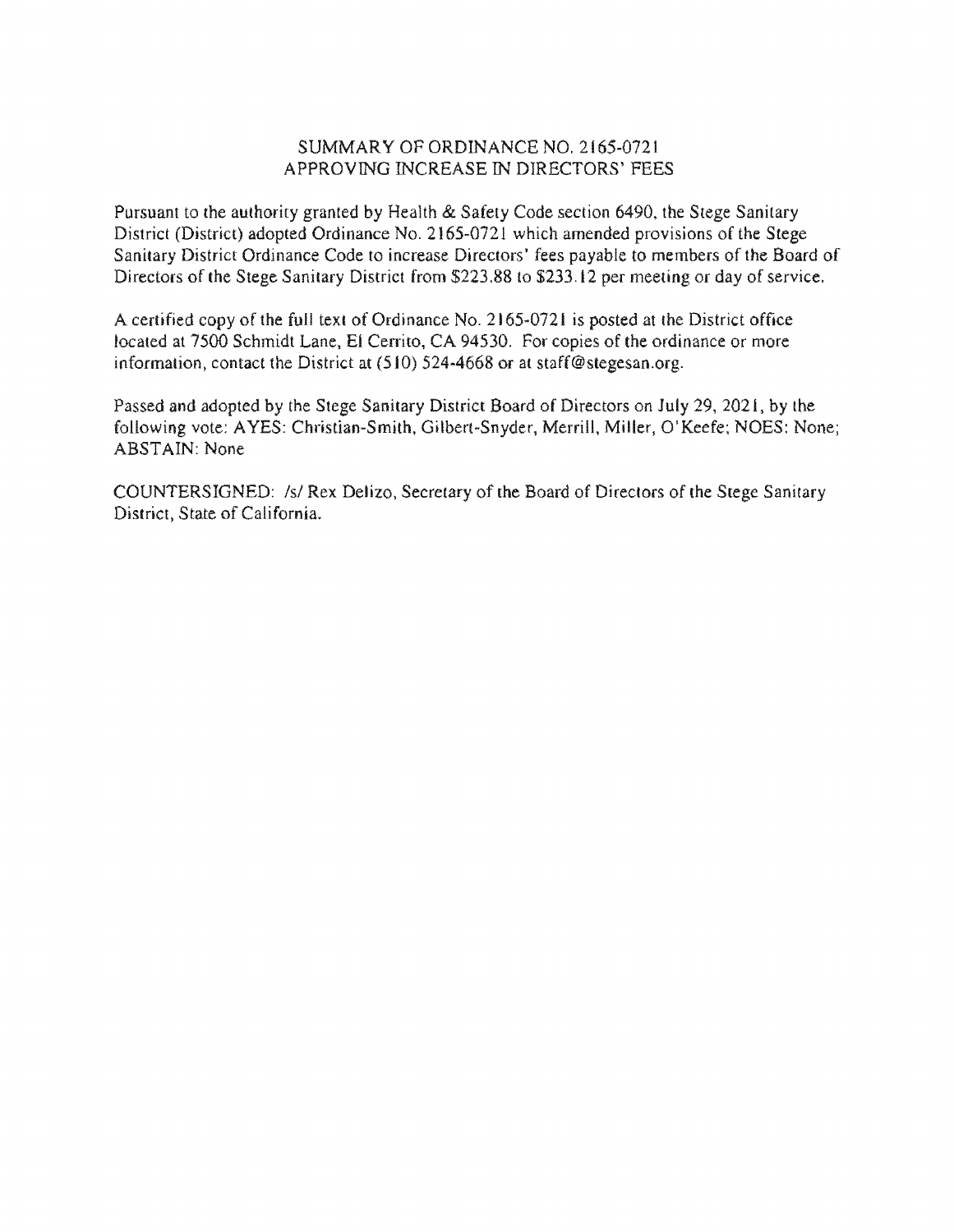## SUMMARY OF ORDINANCE NO. 2165-0721 APPROVING INCREASE IN DIRECTORS'

Pursuant to the authority granted by Health & Safety Code section 6490, the Stege Sanitary District (District) adopted Ordinance No. 2165-0721 which amended provisions of the Stege Sanitary District Ordinance Code to increase Directors' fees payable to members of the Board of Directors of the Stege Sanitary District from \$223.88 to \$233.12 per meeting or day of service.

A certified copy of the full text of Ordinance No. 2165-0721 is posted at the District office located at 7500 Schmidt Lane, El Cerrito, CA 94530. For copies of the ordinance or more information, contact the District at  $(510)$  524-4668 or at staff@stegesan.org.

Passed and adopted by the Stege Sanitary District Board of Directors on July 29, 2021, by the following vote: AYES: Christian-Smith, Gilbert-Snyder, Merrill, Miller, O'Keefe; NOES: None; ABSTAIN: None

COUNTERSIGNED: /s/ Rex Delizo, Secretary of the Board of Directors of the Stege Sanitary District, State of California.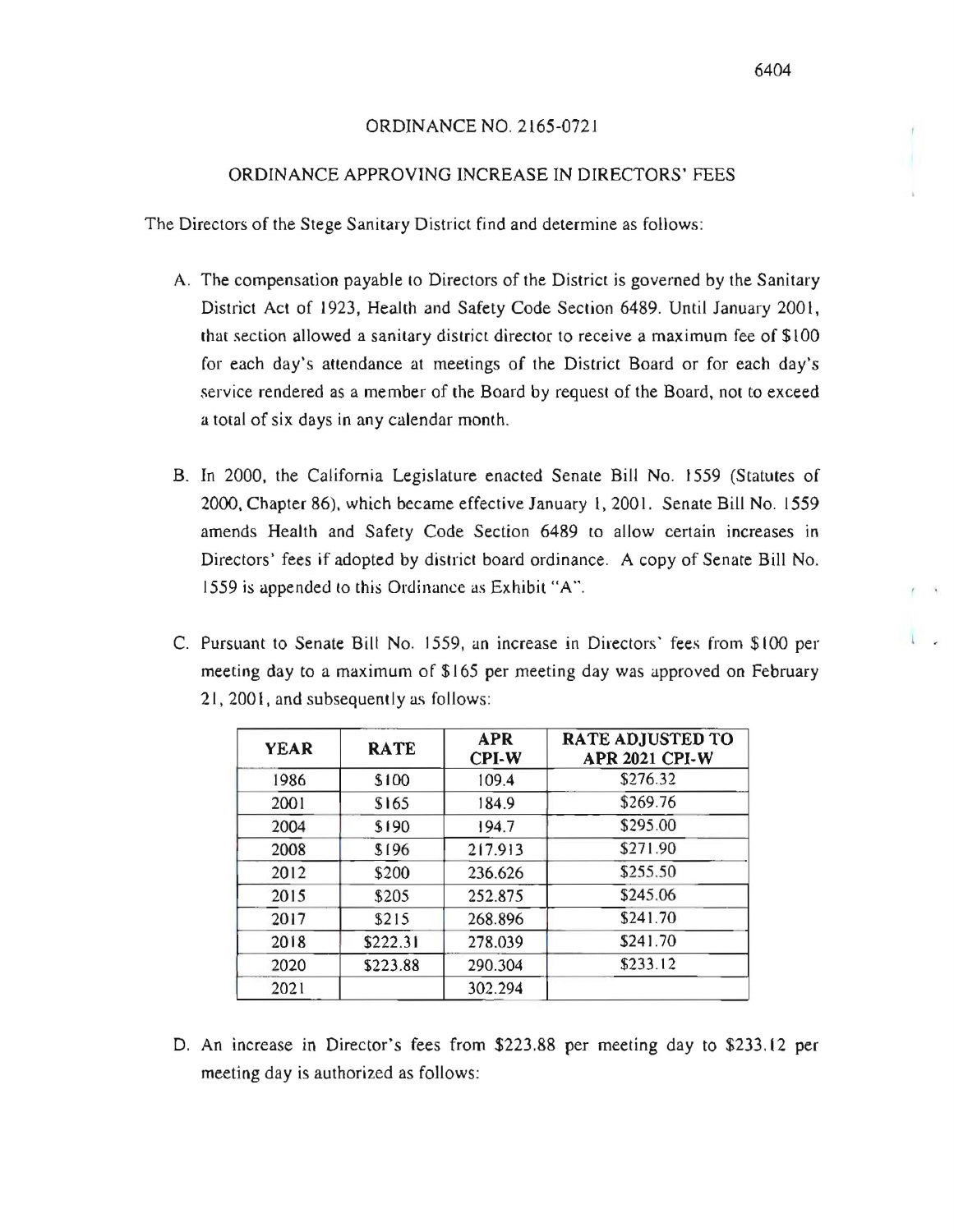### 6404

I \_

## ORDINANCE NO. 2165-0721

## ORDINANCE APPROVING INCREASE IN DIRECTORS' FEES

The Directors of the Stege Sanitary District find and determine as follows:

- A. The compensation payable to Directors of the District is governed by the Sanitary District Act of 1923, Health and Safety Code Section 6489. Until January 2001, that section allowed a sanitary district director to receive a maximum fee of \$100 for each day's attendance at meetings of the District Board or for each day's .service rendered as a member of the Board by request of the Board, not to exceed a total of six days in any calendar month.
- B. In 2000. the California Legislature enacted Senate Bill No. 1559 (Statutes of 2000, Chapter 86), which became effective January 1, 2001. Senate Bill No. 1559 amends Health and Safery Code Section 6489 to allow certain increases in Directors' fees if adopted by district board ordinance. A copy of Senate Bill No. 1559 is appended (0 this Ordinance as Exhibit "A".
- C. Pursuant to Senate Bill No. 1559, an increase in Directors' fees from \$100 per meeting day to a maximum of \$165 per meeting day was approved on February 21, 2001, and subsequently as follows:

| <b>YEAR</b> | <b>RATE</b> | <b>APR</b><br><b>CPI-W</b> | <b>RATE ADJUSTED TO</b><br><b>APR 2021 CPI-W</b> |
|-------------|-------------|----------------------------|--------------------------------------------------|
| 1986        | \$100       | 109.4                      | \$276.32                                         |
| 2001        | \$165       | 184.9                      | \$269.76                                         |
| 2004        | \$190       | 194.7                      | \$295.00                                         |
| 2008        | \$196       | 217.913                    | \$271.90                                         |
| 2012        | \$200       | 236.626                    | \$255.50                                         |
| 2015        | \$205       | 252.875                    | \$245.06                                         |
| 2017        | \$215       | 268.896                    | \$241.70                                         |
| 2018        | \$222.31    | 278.039                    | \$241.70                                         |
| 2020        | \$223.88    | 290.304                    | \$233.12                                         |
| 2021        |             | 302.294                    |                                                  |

D. An increase in Director's fees from \$223.88 per meeting day to \$233.12 per meeting day is authorized as follows: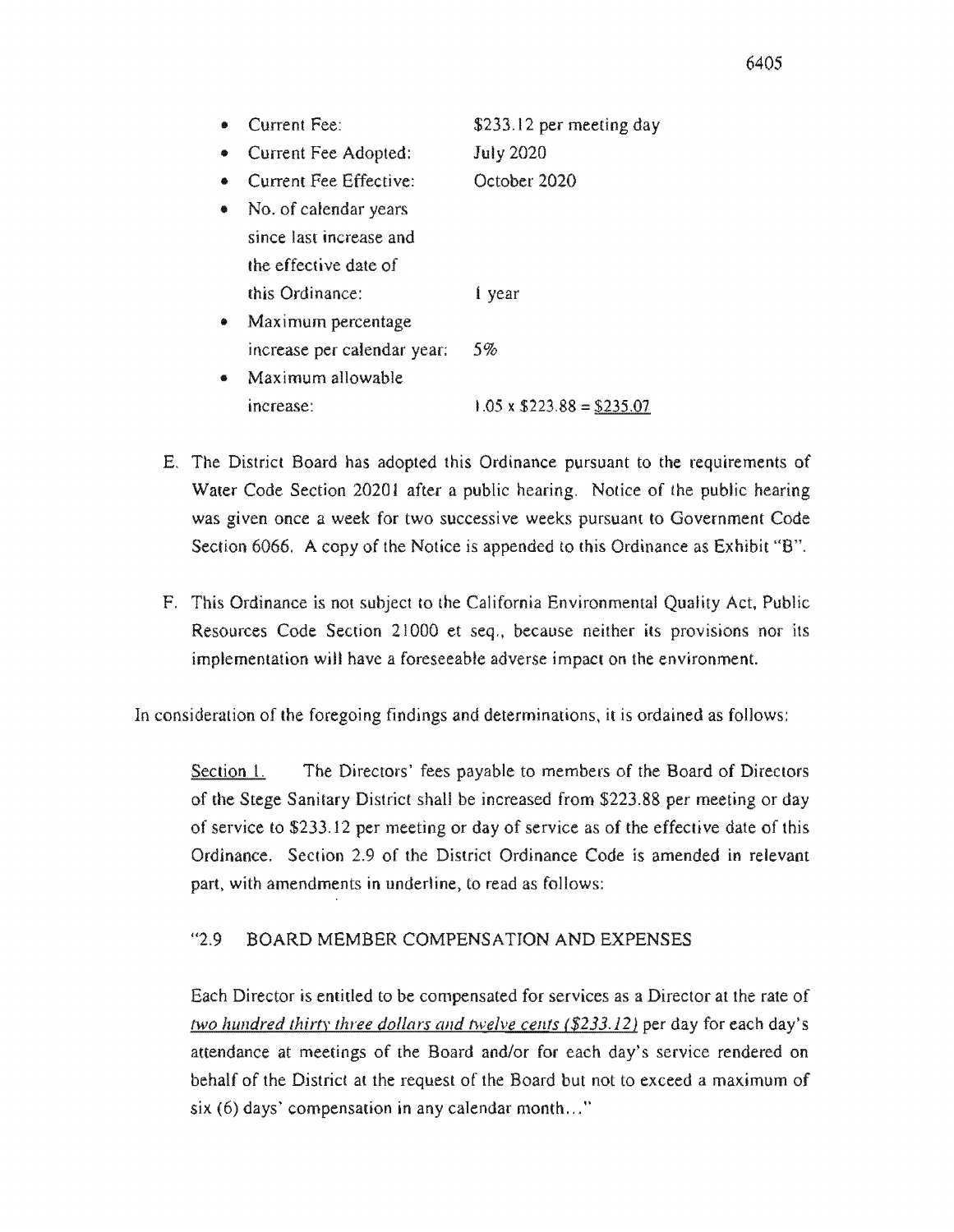- .. Current Fee: \$233.12 per meeting day • Current Fee Adopted: July 2020 • Current Fee Effective: October 2020 • No. of calendar years since last increase and the effective this Ordinance: I year • Maximum percentage increase per calendar year: 5%
- Maximum allowable increase:  $1.05 \times$  \$223.88 = \$235.07
- E. The District Board has adopted this Ordinance pursuant to the requirements of Water Code Section 20201 after a public hearing. Notice of the public hearing was given once a week for two successive weeks pursuant to Government Code Section 6066. A copy of the Notice is appended to this Ordinance as
- Ordinance is not subject to the California Environmental Quality Code Section 21000 et seq., because neither its provisions nor implementation will have a foreseeable adverse impact on the environment.

consideration of the foregoing findings and determinations, it is ordained as follows:

Section 1. The Directors' fees payable to members of the Board of of the Stege Sanitary District shall be increased from \$223.88 per meeting or of service to \$233.12 per meeting or day of service as of the effective date of this Ordinance. Section 2.9 of the District Ordinance Code is amended in relevant part, with amendments in underline, to read as follows:

#### $42.9$ BOARD MEMBER COMPENSATION AND EXPENSES

Each Director is entitled to be compensated for services as a Director at the rate of fWO *hundred thirty three dollars and twelve celtfs* (\$233.12) per day for each day's attendance at meetings of the Board and/or for each day's service rendered on behalf of the District at the request of the Board but not to exceed a maximum of  $s$ ix (6) days' compensation in any calendar month..."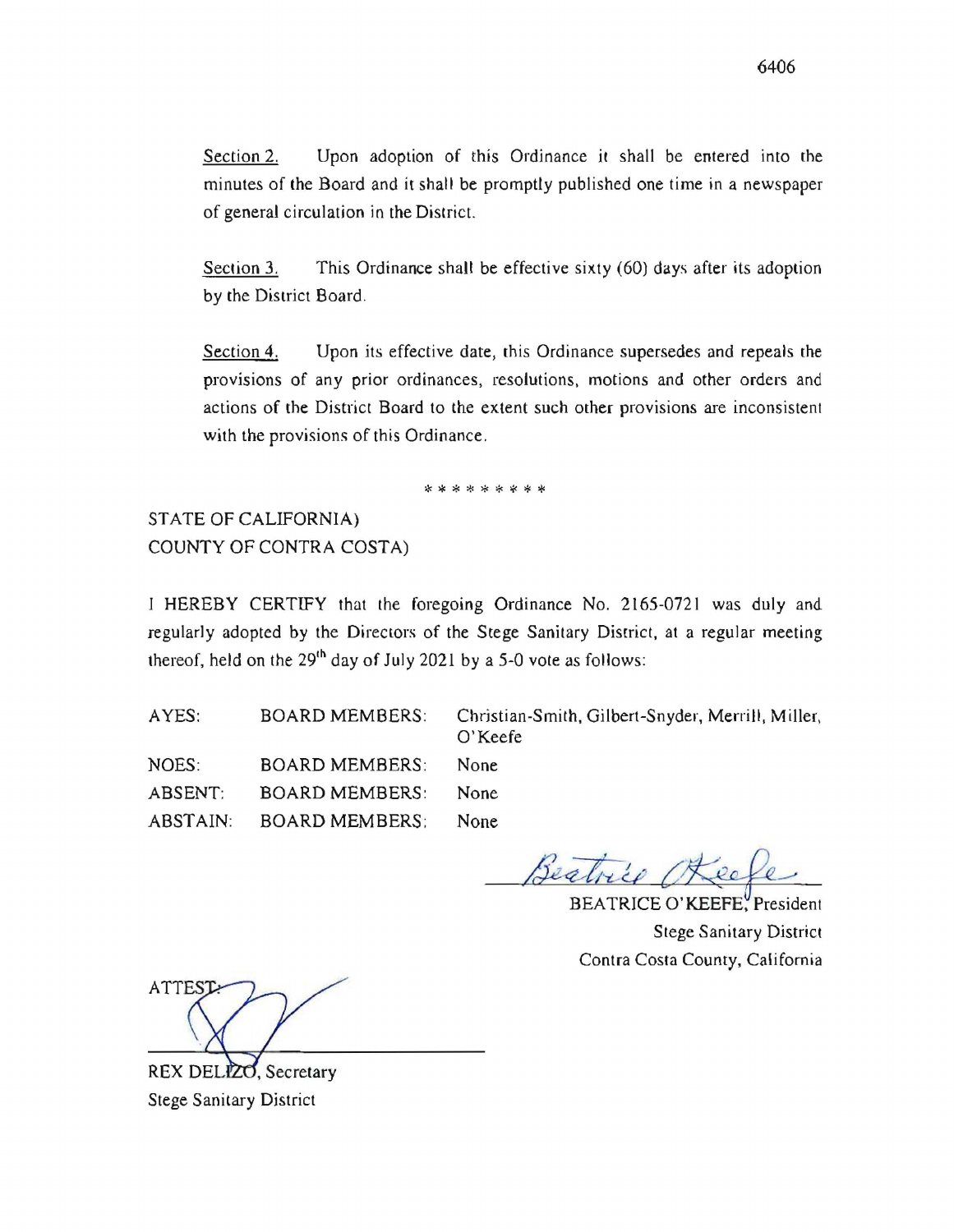Section 2. Upon adoption of this Ordinance it shall be entered into the minutes of the Board and it shall be promptly published one time in a newspaper of general circulation in the District.

Section 3. This Ordinance shall be effective sixty (60) days after its adoption by the District Board.

Section 4. Upon its effective date, this Ordinance supersedes and repeals the provisions of any prior ordinances, resolutions, motions and other orders and actions of the District Board to the extent such other provisions are inconsistent with the provisions of this Ordinance.

\* \* \* \* \* \* \* \* \*

STATE OF CALIFORNIA) COUNTY OF CONTRA COSTA)

I HEREBY CERTIFY that the foregoing Ordinance No. 2165-0721 was duly and regularly adopted by the Directors of the Stege Sanitary District, at a regular meeting thereof, held on the  $29<sup>th</sup>$  day of July 2021 by a 5-0 vote as follows:

AYES: BOARD MEMBERS: NOES: BOARD MEMBERS: ABSENT: BOARD MEMBERS: ABSTAIN: BOARD MEMBERS; Christian-Smith, Gilbert-Snyder, Merrill, Miller, O'Keefe None None None

Beatrice

BEATRICE O'KEEFE, President Stege Sanitary District Contra Costa County, California

**ATTEST** 

REX DELIZO, Secretary Stege Sanitary District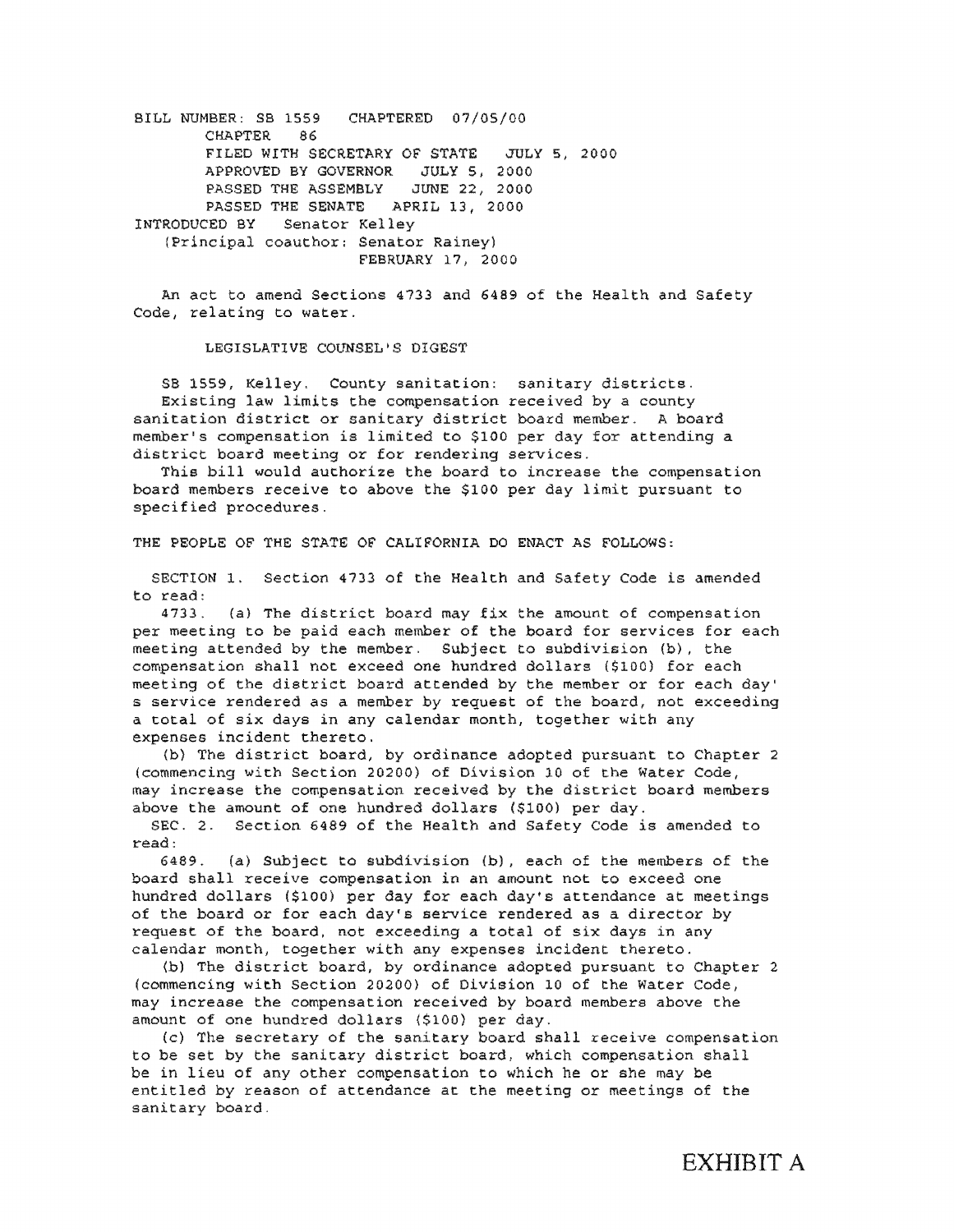BILL NUMBER: SB 1559 CHAPTERED 07/05/00 CHAPTER 86 FILED WITH SECRETARY OF STATE JULY 5, 2000 APPROVED BY GOVERNOR JULY 5. 2000 PASSED THE ASSEMBLY JUNE 22, 2000 PASSED THE SENATE APRIL 13, 2000 INTRODUCED BY Senator Kel (Principal coauthor: Senator Rainey) FEBRUARY 17, 2000

An act to amend Sections 4733 and 6489 of the Health and Safety Code, relating to water.

LEGISLATIVE COUNSEL'S DIGEST

SB 1559, Kelley. County sanitation: sanitary districts. Existing law limits the compensation received by a county sanitation district or sanitary district board member. A board member's compensation is limited to \$100 per day for attending a district board meeting or for rendering services.

This bill would authorize the board to increase the compensation board members receive to above the \$100 per day limit pursuant to specified procedures.

THE PEOPLE OF THE STATE OF CALIFORNIA DO ENACT AS FOLLOWS:

SECTION 1. Section 4733 of the Health and Safety Code is amended to read:

4733. (a) The district board may fix the amount of compensation per meeting to be paid each member of the board for services for each meeting attended by the member. Subject to subdivision  $(b)$ , the compensation shall not exceed one hundred dollars (\$100) for each meeting of the district board attended by the member or for each day' s service rendered as a member by request of the board, not exceeding a total of six days in any calendar month, together with any expenses incident thereto.

(b) The district board, by ordinance adopted pursuant to Chapter 2 (commencing with Section 20200) of Division 10 of the Water Code, may increase the compensation received by the district board members above the amount of one hundred dollars (\$100) per day.

SEC. 2. Section 6489 of the Health and safety Code is amended to read:

6489. (a) Subject to subdivision (b), each of the members of the board shall receive compensation in an amount not to exceed one hundred dollars (\$100) per day for each day's attendance at meetings of the board or for each day's service rendered as a director by request of the board, not exceeding a total of six days in any calendar month, together with any expenses incident thereto.

(b) The district board, by ordinance adopted pursuant to Chapter 2 (commencing with Section 20200) of Division 10 of the Water Code, may increase the compensation received by board members above the amount of one hundred dollars (\$100) per day.

(c) The secretary of the sanitary board shall receive compensation to be set by the sanitary district board, which compensation shall be in lieu of any other compensation to which he or she may be entitled by reason of attendance at the meeting or meetings of the sanitary board